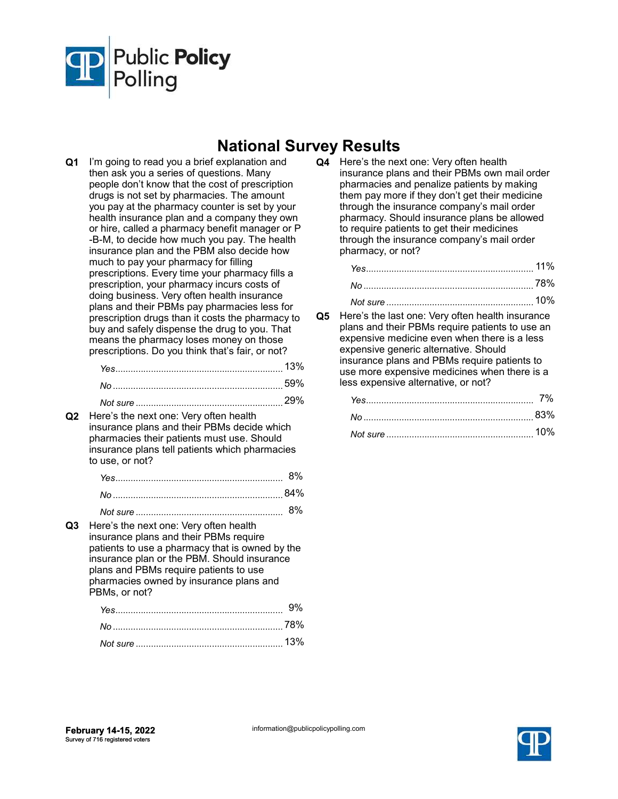

## National Survey Results

Q1 I'm going to read you a brief explanation and then ask you a series of questions. Many people don't know that the cost of prescription drugs is not set by pharmacies. The amount you pay at the pharmacy counter is set by your health insurance plan and a company they own or hire, called a pharmacy benefit manager or P -B-M, to decide how much you pay. The health insurance plan and the PBM also decide how much to pay your pharmacy for filling prescriptions. Every time your pharmacy fills a prescription, your pharmacy incurs costs of doing business. Very often health insurance plans and their PBMs pay pharmacies less for prescription drugs than it costs the pharmacy to buy and safely dispense the drug to you. That means the pharmacy loses money on those prescriptions. Do you think that's fair, or not?

|          | 13%    |
|----------|--------|
|          |        |
| Not sure | ענוני. |

Q2 Here's the next one: Very often health insurance plans and their PBMs decide which pharmacies their patients must use. Should insurance plans tell patients which pharmacies to use, or not?

Q3 Here's the next one: Very often health insurance plans and their PBMs require patients to use a pharmacy that is owned by the insurance plan or the PBM. Should insurance plans and PBMs require patients to use pharmacies owned by insurance plans and PBMs, or not?

Q4 Here's the next one: Very often health insurance plans and their PBMs own mail order pharmacies and penalize patients by making them pay more if they don't get their medicine through the insurance company's mail order pharmacy. Should insurance plans be allowed to require patients to get their medicines through the insurance company's mail order pharmacy, or not?

Q5 Here's the last one: Very often health insurance plans and their PBMs require patients to use an expensive medicine even when there is a less expensive generic alternative. Should insurance plans and PBMs require patients to use more expensive medicines when there is a less expensive alternative, or not?

| 1በ% |
|-----|